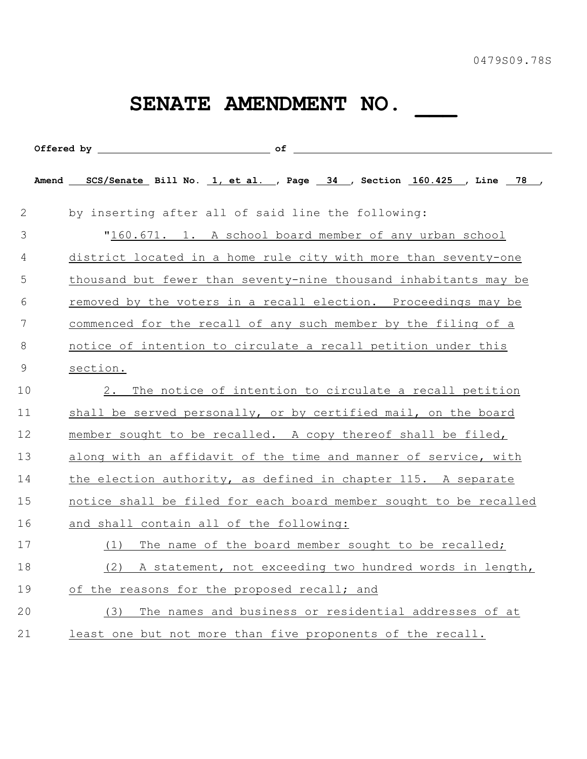## **SENATE AMENDMENT NO. \_\_\_**

|                | Amend SCS/Senate Bill No. 1, et al. , Page 34 , Section 160.425 , Line 78 , |
|----------------|-----------------------------------------------------------------------------|
| 2              | by inserting after all of said line the following:                          |
| 3              | "160.671. 1. A school board member of any urban school                      |
| 4              | district located in a home rule city with more than seventy-one             |
| 5              | thousand but fewer than seventy-nine thousand inhabitants may be            |
| 6              | removed by the voters in a recall election. Proceedings may be              |
| 7              | commenced for the recall of any such member by the filing of a              |
| 8              | notice of intention to circulate a recall petition under this               |
| $\overline{9}$ | section.                                                                    |
| 10             | 2. The notice of intention to circulate a recall petition                   |
| 11             | shall be served personally, or by certified mail, on the board              |
| 12             | member sought to be recalled. A copy thereof shall be filed,                |
| 13             | along with an affidavit of the time and manner of service, with             |
| 14             | the election authority, as defined in chapter 115. A separate               |
| 15             | notice shall be filed for each board member sought to be recalled           |
| 16             | and shall contain all of the following:                                     |
| 17             | The name of the board member sought to be recalled;<br>(1)                  |
| 18             | A statement, not exceeding two hundred words in length,<br>(2)              |
| 19             | of the reasons for the proposed recall; and                                 |
| 20             | The names and business or residential addresses of at<br>(3)                |
| 21             | least one but not more than five proponents of the recall.                  |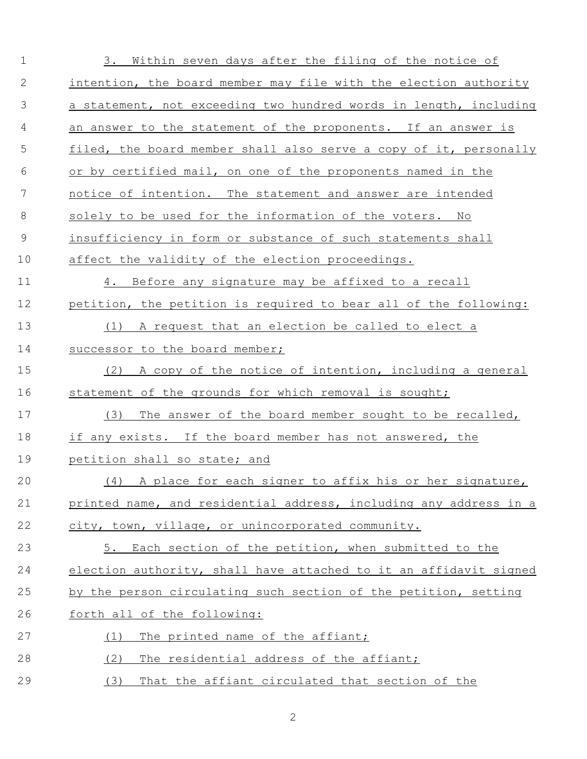| $\mathbf 1$ | 3. Within seven days after the filing of the notice of            |
|-------------|-------------------------------------------------------------------|
| 2           | intention, the board member may file with the election authority  |
| 3           | a statement, not exceeding two hundred words in length, including |
| 4           | an answer to the statement of the proponents. If an answer is     |
| 5           | filed, the board member shall also serve a copy of it, personally |
| 6           | or by certified mail, on one of the proponents named in the       |
| 7           | notice of intention. The statement and answer are intended        |
| 8           | solely to be used for the information of the voters. No           |
| $\mathsf 9$ | insufficiency in form or substance of such statements shall       |
| 10          | affect the validity of the election proceedings.                  |
| 11          | 4. Before any signature may be affixed to a recall                |
| 12          | petition, the petition is required to bear all of the following:  |
| 13          | (1)<br>A request that an election be called to elect a            |
| 14          | successor to the board member;                                    |
| 15          | A copy of the notice of intention, including a general<br>(2)     |
| 16          | statement of the grounds for which removal is sought;             |
| 17          | The answer of the board member sought to be recalled,<br>(3)      |
| 18          | if any exists. If the board member has not answered, the          |
| 19          | petition shall so state; and                                      |
| 20          | (4) A place for each signer to affix his or her signature,        |
| 21          | printed name, and residential address, including any address in a |
| 22          | city, town, village, or unincorporated community.                 |
| 23          | 5. Each section of the petition, when submitted to the            |
| 24          | election authority, shall have attached to it an affidavit signed |
| 25          | by the person circulating such section of the petition, setting   |
| 26          | forth all of the following:                                       |
| 27          | The printed name of the affiant;<br>(1)                           |
| 28          | The residential address of the affiant;<br>(2)                    |
| 29          | (3)<br>That the affiant circulated that section of the            |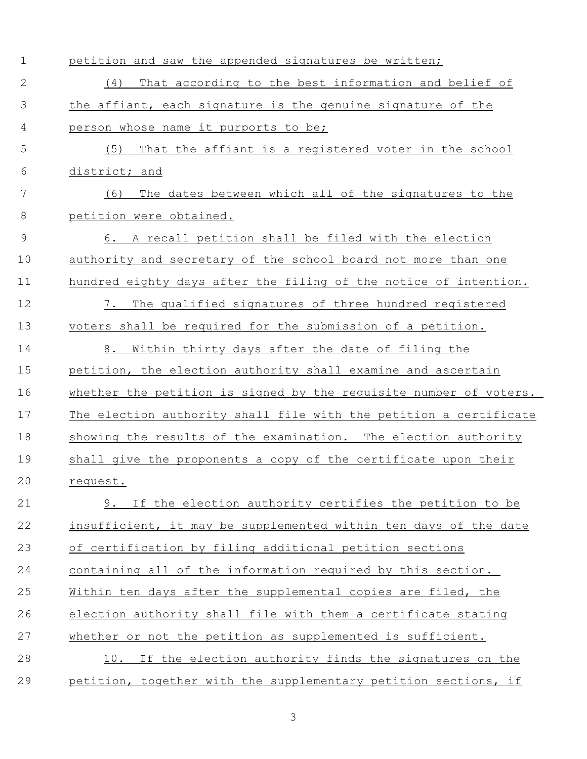| 1  | petition and saw the appended signatures be written;              |
|----|-------------------------------------------------------------------|
| 2  | That according to the best information and belief of<br>(4)       |
| 3  | the affiant, each signature is the genuine signature of the       |
| 4  | person whose name it purports to be;                              |
| 5  | (5)<br>That the affiant is a registered voter in the school       |
| 6  | district; and                                                     |
| 7  | The dates between which all of the signatures to the<br>(6)       |
| 8  | petition were obtained.                                           |
| 9  | A recall petition shall be filed with the election<br>6.          |
| 10 | authority and secretary of the school board not more than one     |
| 11 | hundred eighty days after the filing of the notice of intention.  |
| 12 | The qualified signatures of three hundred registered<br>7.        |
| 13 | voters shall be required for the submission of a petition.        |
| 14 | Within thirty days after the date of filing the<br>8.             |
| 15 | petition, the election authority shall examine and ascertain      |
| 16 | whether the petition is signed by the requisite number of voters. |
| 17 | The election authority shall file with the petition a certificate |
| 18 | showing the results of the examination. The election authority    |
| 19 | shall give the proponents a copy of the certificate upon their    |
| 20 | request.                                                          |
| 21 | 9. If the election authority certifies the petition to be         |
| 22 | insufficient, it may be supplemented within ten days of the date  |
| 23 | of certification by filing additional petition sections           |
| 24 | containing all of the information required by this section.       |
| 25 | Within ten days after the supplemental copies are filed, the      |
| 26 | election authority shall file with them a certificate stating     |
| 27 | whether or not the petition as supplemented is sufficient.        |
| 28 | 10. If the election authority finds the signatures on the         |
| 29 | petition, together with the supplementary petition sections, if   |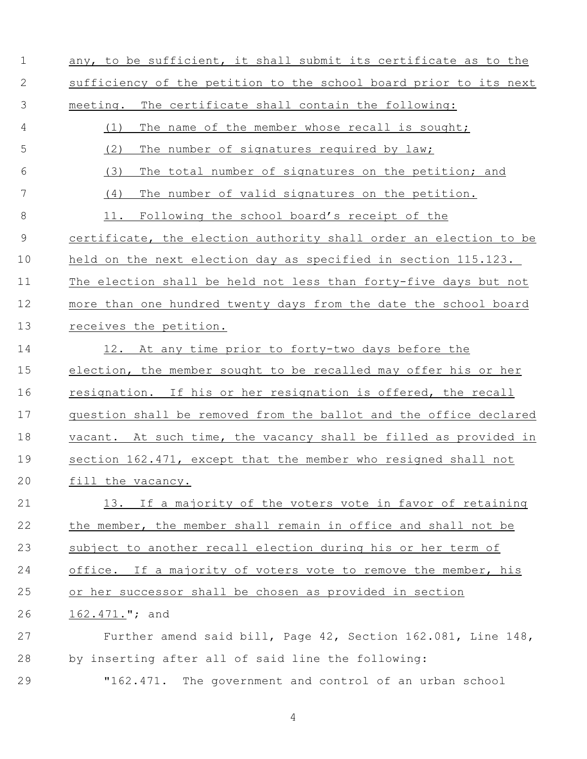| $\mathbf 1$   | any, to be sufficient, it shall submit its certificate as to the  |
|---------------|-------------------------------------------------------------------|
| 2             | sufficiency of the petition to the school board prior to its next |
| 3             | The certificate shall contain the following:<br>meeting.          |
| 4             | The name of the member whose recall is sought;<br>(1)             |
| 5             | (2)<br>The number of signatures required by law;                  |
| 6             | (3)<br>The total number of signatures on the petition; and        |
| 7             | The number of valid signatures on the petition.<br>(4)            |
| 8             | Following the school board's receipt of the<br>11.                |
| $\mathcal{G}$ | certificate, the election authority shall order an election to be |
| 10            | held on the next election day as specified in section 115.123.    |
| 11            | The election shall be held not less than forty-five days but not  |
| 12            | more than one hundred twenty days from the date the school board  |
| 13            | receives the petition.                                            |
| 14            | 12. At any time prior to forty-two days before the                |
| 15            | election, the member sought to be recalled may offer his or her   |
| 16            | resignation. If his or her resignation is offered, the recall     |
| 17            | question shall be removed from the ballot and the office declared |
| 18            | vacant. At such time, the vacancy shall be filled as provided in  |
| 19            | section 162.471, except that the member who resigned shall not    |
| 20            | fill the vacancy.                                                 |
| 21            | 13. If a majority of the voters vote in favor of retaining        |
| 22            | the member, the member shall remain in office and shall not be    |
| 23            | subject to another recall election during his or her term of      |
| 24            | office. If a majority of voters vote to remove the member, his    |
| 25            | or her successor shall be chosen as provided in section           |
| 26            | 162.471."; and                                                    |
| 27            | Further amend said bill, Page 42, Section 162.081, Line 148,      |
| 28            | by inserting after all of said line the following:                |
| 29            | The government and control of an urban school<br>"162.471.        |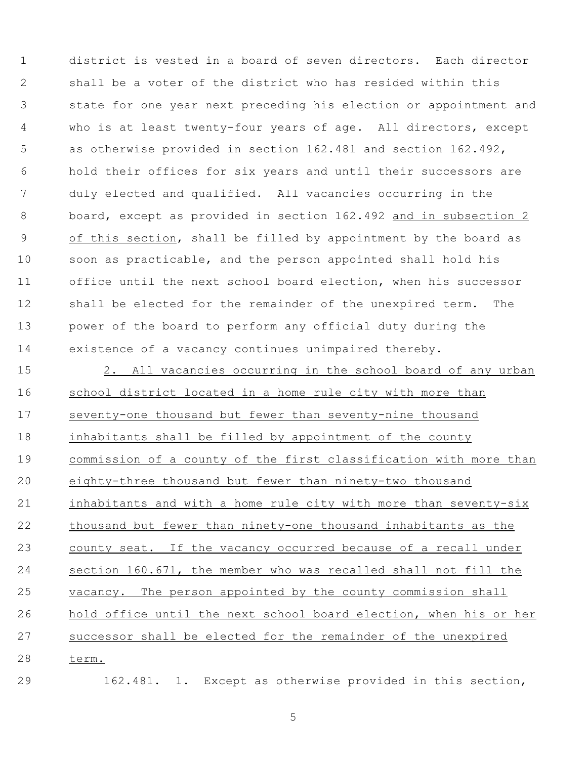district is vested in a board of seven directors. Each director shall be a voter of the district who has resided within this state for one year next preceding his election or appointment and who is at least twenty-four years of age. All directors, except as otherwise provided in section 162.481 and section 162.492, hold their offices for six years and until their successors are duly elected and qualified. All vacancies occurring in the board, except as provided in section 162.492 and in subsection 2 of this section, shall be filled by appointment by the board as soon as practicable, and the person appointed shall hold his office until the next school board election, when his successor shall be elected for the remainder of the unexpired term. The power of the board to perform any official duty during the existence of a vacancy continues unimpaired thereby.

 2. All vacancies occurring in the school board of any urban school district located in a home rule city with more than 17 seventy-one thousand but fewer than seventy-nine thousand inhabitants shall be filled by appointment of the county commission of a county of the first classification with more than eighty-three thousand but fewer than ninety-two thousand inhabitants and with a home rule city with more than seventy-six thousand but fewer than ninety-one thousand inhabitants as the county seat. If the vacancy occurred because of a recall under section 160.671, the member who was recalled shall not fill the vacancy. The person appointed by the county commission shall hold office until the next school board election, when his or her successor shall be elected for the remainder of the unexpired term.

162.481. 1. Except as otherwise provided in this section,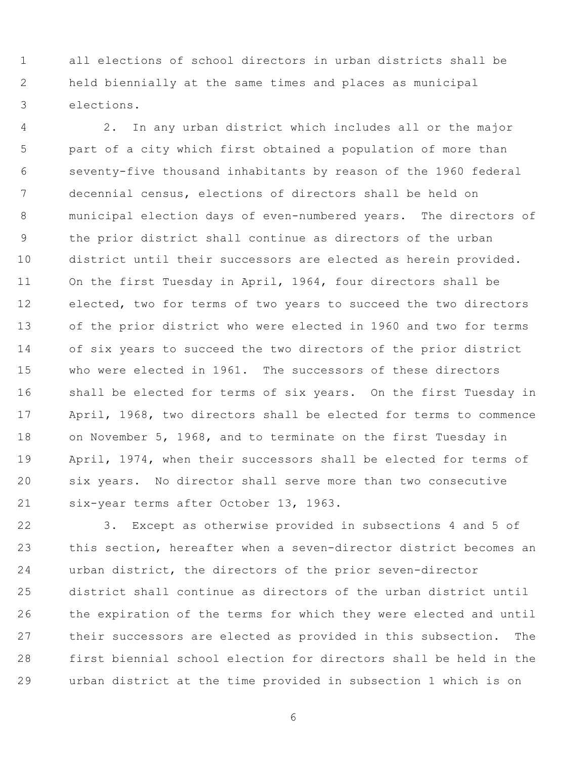all elections of school directors in urban districts shall be held biennially at the same times and places as municipal elections.

 2. In any urban district which includes all or the major part of a city which first obtained a population of more than seventy-five thousand inhabitants by reason of the 1960 federal decennial census, elections of directors shall be held on municipal election days of even-numbered years. The directors of the prior district shall continue as directors of the urban district until their successors are elected as herein provided. On the first Tuesday in April, 1964, four directors shall be elected, two for terms of two years to succeed the two directors of the prior district who were elected in 1960 and two for terms of six years to succeed the two directors of the prior district who were elected in 1961. The successors of these directors shall be elected for terms of six years. On the first Tuesday in April, 1968, two directors shall be elected for terms to commence on November 5, 1968, and to terminate on the first Tuesday in April, 1974, when their successors shall be elected for terms of six years. No director shall serve more than two consecutive six-year terms after October 13, 1963.

 3. Except as otherwise provided in subsections 4 and 5 of this section, hereafter when a seven-director district becomes an urban district, the directors of the prior seven-director district shall continue as directors of the urban district until the expiration of the terms for which they were elected and until their successors are elected as provided in this subsection. The first biennial school election for directors shall be held in the urban district at the time provided in subsection 1 which is on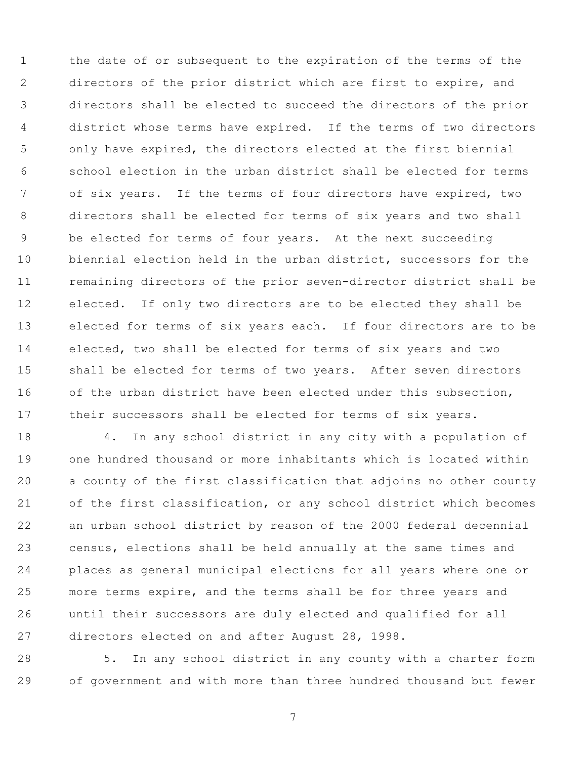the date of or subsequent to the expiration of the terms of the directors of the prior district which are first to expire, and directors shall be elected to succeed the directors of the prior district whose terms have expired. If the terms of two directors only have expired, the directors elected at the first biennial school election in the urban district shall be elected for terms of six years. If the terms of four directors have expired, two directors shall be elected for terms of six years and two shall be elected for terms of four years. At the next succeeding biennial election held in the urban district, successors for the remaining directors of the prior seven-director district shall be elected. If only two directors are to be elected they shall be elected for terms of six years each. If four directors are to be elected, two shall be elected for terms of six years and two shall be elected for terms of two years. After seven directors 16 of the urban district have been elected under this subsection, their successors shall be elected for terms of six years.

 4. In any school district in any city with a population of one hundred thousand or more inhabitants which is located within a county of the first classification that adjoins no other county of the first classification, or any school district which becomes an urban school district by reason of the 2000 federal decennial census, elections shall be held annually at the same times and places as general municipal elections for all years where one or more terms expire, and the terms shall be for three years and until their successors are duly elected and qualified for all directors elected on and after August 28, 1998.

 5. In any school district in any county with a charter form of government and with more than three hundred thousand but fewer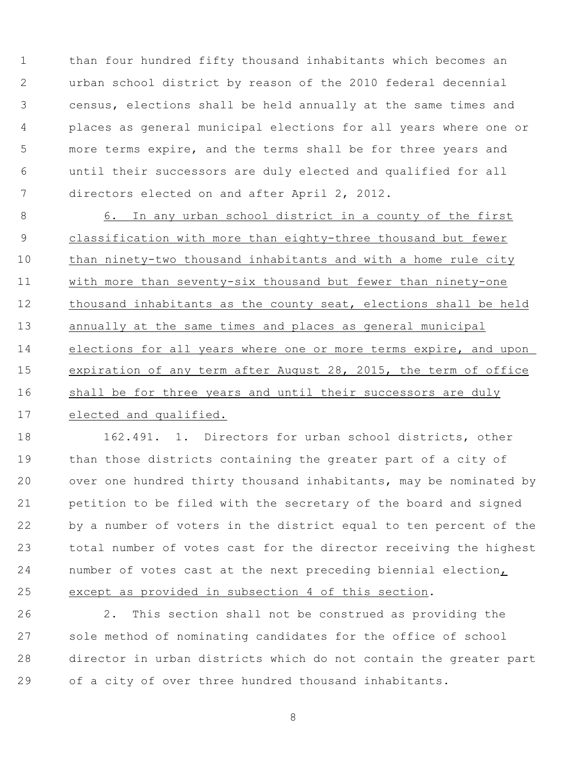than four hundred fifty thousand inhabitants which becomes an urban school district by reason of the 2010 federal decennial census, elections shall be held annually at the same times and places as general municipal elections for all years where one or more terms expire, and the terms shall be for three years and until their successors are duly elected and qualified for all directors elected on and after April 2, 2012.

 6. In any urban school district in a county of the first classification with more than eighty-three thousand but fewer than ninety-two thousand inhabitants and with a home rule city with more than seventy-six thousand but fewer than ninety-one thousand inhabitants as the county seat, elections shall be held annually at the same times and places as general municipal elections for all years where one or more terms expire, and upon expiration of any term after August 28, 2015, the term of office shall be for three years and until their successors are duly elected and qualified.

 162.491. 1. Directors for urban school districts, other than those districts containing the greater part of a city of over one hundred thirty thousand inhabitants, may be nominated by petition to be filed with the secretary of the board and signed by a number of voters in the district equal to ten percent of the total number of votes cast for the director receiving the highest number of votes cast at the next preceding biennial election, except as provided in subsection 4 of this section.

 2. This section shall not be construed as providing the sole method of nominating candidates for the office of school director in urban districts which do not contain the greater part of a city of over three hundred thousand inhabitants.